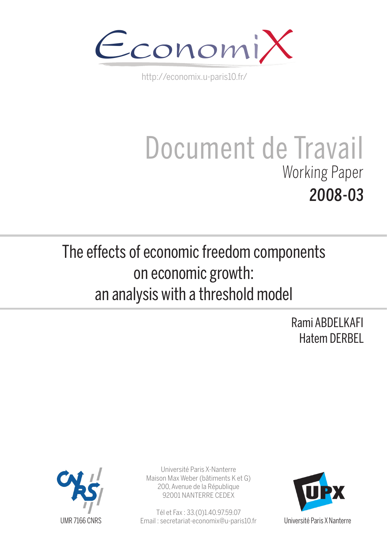

http://economix.u-paris10.fr/

# Document de Travail Working Paper 2008-03

The effects of economic freedom components on economic growth: an analysis with a threshold model

> Rami ABDELKAFI Hatem DERBEL



Université Paris X-Nanterre Maison Max Weber (bâtiments K et G) 200, Avenue de la République 92001 NANTERRE CEDEX

Tél et Fax : 33.(0)1.40.97.59.07 Email : secretariat-economix@u-paris10.fr



Université Paris X Nanterre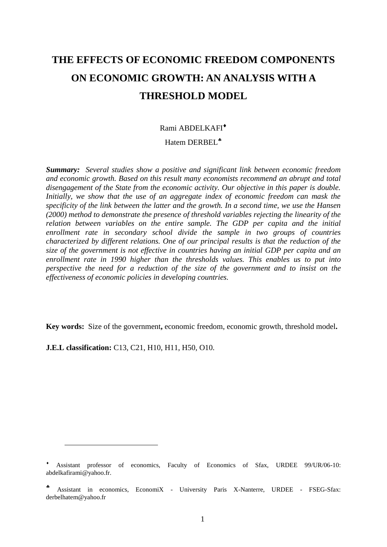# **THE EFFECTS OF ECONOMIC FREEDOM COMPONENTS ON ECONOMIC GROWTH: AN ANALYSIS WITH A THRESHOLD MODEL**

#### Rami ABDELKAFI

#### Hatem DERBEL<sup>\*</sup>

*Summary:**Several studies show a positive and significant link between economic freedom and economic growth. Based on this result many economists recommend an abrupt and total disengagement of the State from the economic activity. Our objective in this paper is double. Initially, we show that the use of an aggregate index of economic freedom can mask the specificity of the link between the latter and the growth. In a second time, we use the Hansen (2000) method to demonstrate the presence of threshold variables rejecting the linearity of the relation between variables on the entire sample. The GDP per capita and the initial enrollment rate in secondary school divide the sample in two groups of countries characterized by different relations. One of our principal results is that the reduction of the size of the government is not effective in countries having an initial GDP per capita and an enrollment rate in 1990 higher than the thresholds values. This enables us to put into perspective the need for a reduction of the size of the government and to insist on the effectiveness of economic policies in developing countries.* 

**Key words:** Size of the government**,** economic freedom, economic growth, threshold model**.** 

**J.E.L classification:** C13, C21, H10, H11, H50, O10.

Assistant professor of economics, Faculty of Economics of Sfax, URDEE 99/UR/06-10: abdelkafirami@yahoo.fr.

<sup>4</sup> Assistant in economics, EconomiX - University Paris X-Nanterre, URDEE - FSEG-Sfax: [derbelhatem@yahoo.fr](mailto:derbelhatem@yahoo.fr)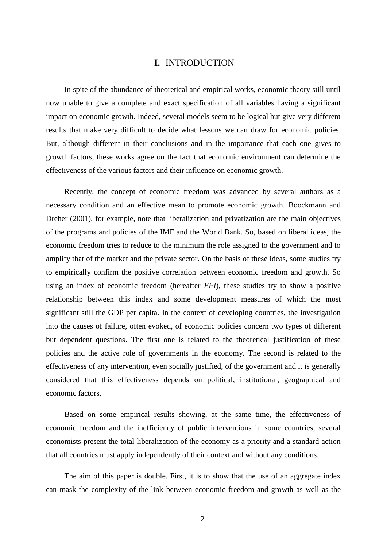#### **I.** INTRODUCTION

In spite of the abundance of theoretical and empirical works, economic theory still until now unable to give a complete and exact specification of all variables having a significant impact on economic growth. Indeed, several models seem to be logical but give very different results that make very difficult to decide what lessons we can draw for economic policies. But, although different in their conclusions and in the importance that each one gives to growth factors, these works agree on the fact that economic environment can determine the effectiveness of the various factors and their influence on economic growth.

Recently, the concept of economic freedom was advanced by several authors as a necessary condition and an effective mean to promote economic growth. Boockmann and Dreher (2001), for example, note that liberalization and privatization are the main objectives of the programs and policies of the IMF and the World Bank. So, based on liberal ideas, the economic freedom tries to reduce to the minimum the role assigned to the government and to amplify that of the market and the private sector. On the basis of these ideas, some studies try to empirically confirm the positive correlation between economic freedom and growth. So using an index of economic freedom (hereafter *EFI*), these studies try to show a positive relationship between this index and some development measures of which the most significant still the GDP per capita. In the context of developing countries, the investigation into the causes of failure, often evoked, of economic policies concern two types of different but dependent questions. The first one is related to the theoretical justification of these policies and the active role of governments in the economy. The second is related to the effectiveness of any intervention, even socially justified, of the government and it is generally considered that this effectiveness depends on political, institutional, geographical and economic factors.

Based on some empirical results showing, at the same time, the effectiveness of economic freedom and the inefficiency of public interventions in some countries, several economists present the total liberalization of the economy as a priority and a standard action that all countries must apply independently of their context and without any conditions.

The aim of this paper is double. First, it is to show that the use of an aggregate index can mask the complexity of the link between economic freedom and growth as well as the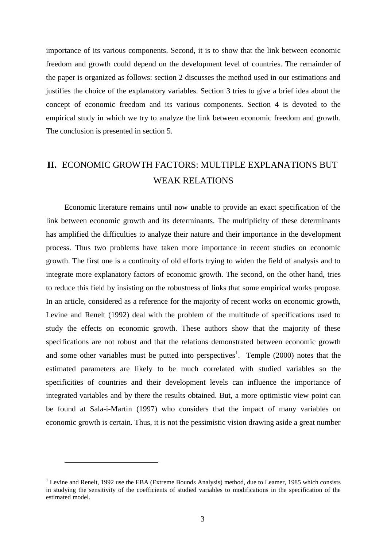importance of its various components. Second, it is to show that the link between economic freedom and growth could depend on the development level of countries. The remainder of the paper is organized as follows: section 2 discusses the method used in our estimations and justifies the choice of the explanatory variables. Section 3 tries to give a brief idea about the concept of economic freedom and its various components. Section 4 is devoted to the empirical study in which we try to analyze the link between economic freedom and growth. The conclusion is presented in section 5.

# **II.** ECONOMIC GROWTH FACTORS: MULTIPLE EXPLANATIONS BUT WEAK RELATIONS

Economic literature remains until now unable to provide an exact specification of the link between economic growth and its determinants. The multiplicity of these determinants has amplified the difficulties to analyze their nature and their importance in the development process. Thus two problems have taken more importance in recent studies on economic growth. The first one is a continuity of old efforts trying to widen the field of analysis and to integrate more explanatory factors of economic growth. The second, on the other hand, tries to reduce this field by insisting on the robustness of links that some empirical works propose. In an article, considered as a reference for the majority of recent works on economic growth, Levine and Renelt (1992) deal with the problem of the multitude of specifications used to study the effects on economic growth. These authors show that the majority of these specifications are not robust and that the relations demonstrated between economic growth and some other variables must be putted into perspectives<sup>1</sup>. Temple  $(2000)$  notes that the estimated parameters are likely to be much correlated with studied variables so the specificities of countries and their development levels can influence the importance of integrated variables and by there the results obtained. But, a more optimistic view point can be found at Sala-i-Martin (1997) who considers that the impact of many variables on economic growth is certain. Thus, it is not the pessimistic vision drawing aside a great number

<sup>&</sup>lt;sup>1</sup> Levine and Renelt, 1992 use the EBA (Extreme Bounds Analysis) method, due to Leamer, 1985 which consists in studying the sensitivity of the coefficients of studied variables to modifications in the specification of the estimated model.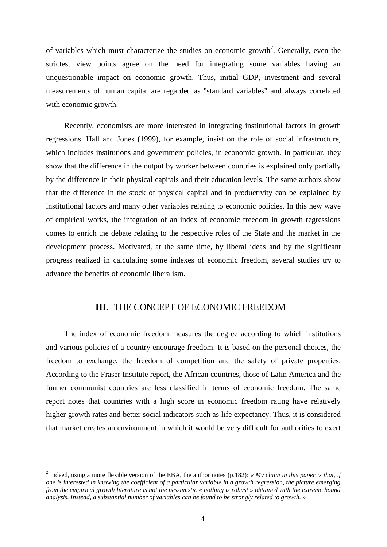of variables which must characterize the studies on economic growth<sup>2</sup>. Generally, even the strictest view points agree on the need for integrating some variables having an unquestionable impact on economic growth. Thus, initial GDP, investment and several measurements of human capital are regarded as "standard variables" and always correlated with economic growth.

Recently, economists are more interested in integrating institutional factors in growth regressions. Hall and Jones (1999), for example, insist on the role of social infrastructure, which includes institutions and government policies, in economic growth. In particular, they show that the difference in the output by worker between countries is explained only partially by the difference in their physical capitals and their education levels. The same authors show that the difference in the stock of physical capital and in productivity can be explained by institutional factors and many other variables relating to economic policies. In this new wave of empirical works, the integration of an index of economic freedom in growth regressions comes to enrich the debate relating to the respective roles of the State and the market in the development process. Motivated, at the same time, by liberal ideas and by the significant progress realized in calculating some indexes of economic freedom, several studies try to advance the benefits of economic liberalism.

#### **III.** THE CONCEPT OF ECONOMIC FREEDOM

The index of economic freedom measures the degree according to which institutions and various policies of a country encourage freedom. It is based on the personal choices, the freedom to exchange, the freedom of competition and the safety of private properties. According to the Fraser Institute report, the African countries, those of Latin America and the former communist countries are less classified in terms of economic freedom. The same report notes that countries with a high score in economic freedom rating have relatively higher growth rates and better social indicators such as life expectancy. Thus, it is considered that market creates an environment in which it would be very difficult for authorities to exert

<sup>&</sup>lt;sup>2</sup> Indeed, using a more flexible version of the EBA, the author notes (p.182): *« My claim in this paper is that, if one is interested in knowing the coefficient of a particular variable in a growth regression, the picture emerging from the empirical growth literature is not the pessimistic « nothing is robust » obtained with the extreme bound analysis. Instead, a substantial number of variables can be found to be strongly related to growth. »*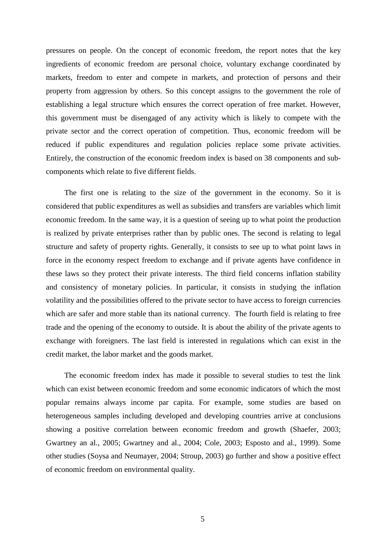pressures on people. On the concept of economic freedom, the report notes that the key ingredients of economic freedom are personal choice, voluntary exchange coordinated by markets, freedom to enter and compete in markets, and protection of persons and their property from aggression by others. So this concept assigns to the government the role of establishing a legal structure which ensures the correct operation of free market. However, this government must be disengaged of any activity which is likely to compete with the private sector and the correct operation of competition. Thus, economic freedom will be reduced if public expenditures and regulation policies replace some private activities. Entirely, the construction of the economic freedom index is based on 38 components and subcomponents which relate to five different fields.

The first one is relating to the size of the government in the economy. So it is considered that public expenditures as well as subsidies and transfers are variables which limit economic freedom. In the same way, it is a question of seeing up to what point the production is realized by private enterprises rather than by public ones. The second is relating to legal structure and safety of property rights. Generally, it consists to see up to what point laws in force in the economy respect freedom to exchange and if private agents have confidence in these laws so they protect their private interests. The third field concerns inflation stability and consistency of monetary policies. In particular, it consists in studying the inflation volatility and the possibilities offered to the private sector to have access to foreign currencies which are safer and more stable than its national currency. The fourth field is relating to free trade and the opening of the economy to outside. It is about the ability of the private agents to exchange with foreigners. The last field is interested in regulations which can exist in the credit market, the labor market and the goods market.

The economic freedom index has made it possible to several studies to test the link which can exist between economic freedom and some economic indicators of which the most popular remains always income par capita. For example, some studies are based on heterogeneous samples including developed and developing countries arrive at conclusions showing a positive correlation between economic freedom and growth (Shaefer, 2003; Gwartney an al., 2005; Gwartney and al., 2004; Cole, 2003; Esposto and al., 1999). Some other studies (Soysa and Neumayer, 2004; Stroup, 2003) go further and show a positive effect of economic freedom on environmental quality.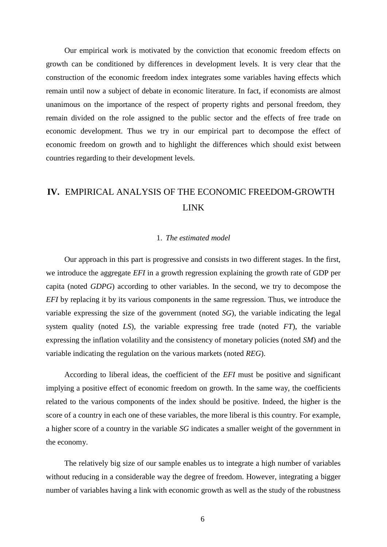Our empirical work is motivated by the conviction that economic freedom effects on growth can be conditioned by differences in development levels. It is very clear that the construction of the economic freedom index integrates some variables having effects which remain until now a subject of debate in economic literature. In fact, if economists are almost unanimous on the importance of the respect of property rights and personal freedom, they remain divided on the role assigned to the public sector and the effects of free trade on economic development. Thus we try in our empirical part to decompose the effect of economic freedom on growth and to highlight the differences which should exist between countries regarding to their development levels.

# **IV.** EMPIRICAL ANALYSIS OF THE ECONOMIC FREEDOM-GROWTH LINK

#### 1. *The estimated model*

Our approach in this part is progressive and consists in two different stages. In the first, we introduce the aggregate *EFI* in a growth regression explaining the growth rate of GDP per capita (noted *GDPG*) according to other variables. In the second, we try to decompose the *EFI* by replacing it by its various components in the same regression. Thus, we introduce the variable expressing the size of the government (noted *SG*), the variable indicating the legal system quality (noted *LS*), the variable expressing free trade (noted *FT*), the variable expressing the inflation volatility and the consistency of monetary policies (noted *SM*) and the variable indicating the regulation on the various markets (noted *REG*).

According to liberal ideas, the coefficient of the *EFI* must be positive and significant implying a positive effect of economic freedom on growth. In the same way, the coefficients related to the various components of the index should be positive. Indeed, the higher is the score of a country in each one of these variables, the more liberal is this country. For example, a higher score of a country in the variable *SG* indicates a smaller weight of the government in the economy.

The relatively big size of our sample enables us to integrate a high number of variables without reducing in a considerable way the degree of freedom. However, integrating a bigger number of variables having a link with economic growth as well as the study of the robustness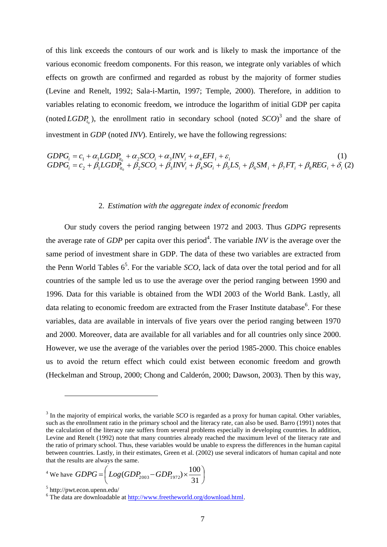of this link exceeds the contours of our work and is likely to mask the importance of the various economic freedom components. For this reason, we integrate only variables of which effects on growth are confirmed and regarded as robust by the majority of former studies (Levine and Renelt, 1992; Sala-i-Martin, 1997; Temple, 2000). Therefore, in addition to variables relating to economic freedom, we introduce the logarithm of initial GDP per capita (noted  $LGDP_{t_0}$ ), the enrollment ratio in secondary school (noted  $SCO$ )<sup>3</sup> and the share of investment in *GDP* (noted *INV*). Entirely, we have the following regressions:

$$
GDPG_i = c_1 + \alpha_1 LGDP_{i t_0} + \alpha_2 SCO_i + \alpha_3 INV_i + \alpha_4 EFI_i + \varepsilon_i
$$
\n
$$
GDPG_i = c_2 + \beta_1 LGDP_{i t_0} + \beta_2 SCO_i + \beta_3 INV_i + \beta_4 SG_i + \beta_5 LS_i + \beta_6 SM_i + \beta_7 FT_i + \beta_8 REG_i + \delta_i (2)
$$

#### 2. *Estimation with the aggregate index of economic freedom*

Our study covers the period ranging between 1972 and 2003. Thus *GDPG* represents the average rate of *GDP* per capita over this period<sup>4</sup>. The variable *INV* is the average over the same period of investment share in GDP. The data of these two variables are extracted from the Penn World Tables  $6^5$ . For the variable *SCO*, lack of data over the total period and for all countries of the sample led us to use the average over the period ranging between 1990 and 1996. Data for this variable is obtained from the WDI 2003 of the World Bank. Lastly, all data relating to economic freedom are extracted from the Fraser Institute database<sup>6</sup>. For these variables, data are available in intervals of five years over the period ranging between 1970 and 2000. Moreover, data are available for all variables and for all countries only since 2000. However, we use the average of the variables over the period 1985-2000. This choice enables us to avoid the return effect which could exist between economic freedom and growth (Heckelman and Stroup, 2000; Chong and Calderón, 2000; Dawson, 2003). Then by this way,

<sup>4</sup> We have 
$$
GDPG = \left( Log(GDP_{2003} - GDP_{1972}) \times \frac{100}{31} \right)
$$

 $3$  In the majority of empirical works, the variable *SCO* is regarded as a proxy for human capital. Other variables, such as the enrollnment ratio in the primary school and the literacy rate, can also be used. Barro (1991) notes that the calculation of the literacy rate suffers from several problems especially in developing countries. In addition, Levine and Renelt (1992) note that many countries already reached the maximum level of the literacy rate and the ratio of primary school. Thus, these variables would be unable to express the differences in the human capital between countries. Lastly, in their estimates, Green et al. (2002) use several indicators of human capital and note that the results are always the same.

<sup>5</sup> http://pwt.econ.upenn.edu/

<sup>&</sup>lt;sup>6</sup> The data are downloadable at http://www.freetheworld.org/download.html.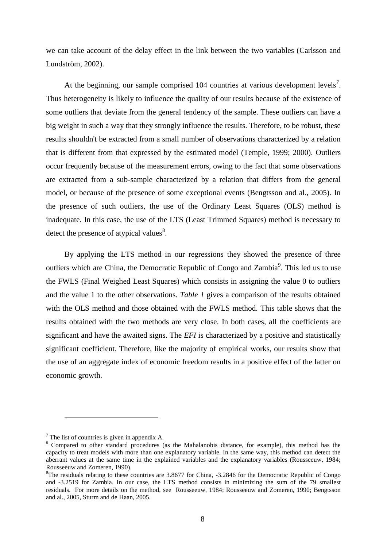we can take account of the delay effect in the link between the two variables (Carlsson and Lundström, 2002).

At the beginning, our sample comprised  $104$  countries at various development levels<sup>7</sup>. Thus heterogeneity is likely to influence the quality of our results because of the existence of some outliers that deviate from the general tendency of the sample. These outliers can have a big weight in such a way that they strongly influence the results. Therefore, to be robust, these results shouldn't be extracted from a small number of observations characterized by a relation that is different from that expressed by the estimated model (Temple, 1999; 2000). Outliers occur frequently because of the measurement errors, owing to the fact that some observations are extracted from a sub-sample characterized by a relation that differs from the general model, or because of the presence of some exceptional events (Bengtsson and al., 2005). In the presence of such outliers, the use of the Ordinary Least Squares (OLS) method is inadequate. In this case, the use of the LTS (Least Trimmed Squares) method is necessary to detect the presence of atypical values $8$ .

By applying the LTS method in our regressions they showed the presence of three outliers which are China, the Democratic Republic of Congo and Zambia<sup>9</sup>. This led us to use the FWLS (Final Weighed Least Squares) which consists in assigning the value 0 to outliers and the value 1 to the other observations. *Table 1* gives a comparison of the results obtained with the OLS method and those obtained with the FWLS method. This table shows that the results obtained with the two methods are very close. In both cases, all the coefficients are significant and have the awaited signs. The *EFI* is characterized by a positive and statistically significant coefficient. Therefore, like the majority of empirical works, our results show that the use of an aggregate index of economic freedom results in a positive effect of the latter on economic growth.

 $<sup>7</sup>$  The list of countries is given in appendix A.</sup>

<sup>&</sup>lt;sup>8</sup> Compared to other standard procedures (as the Mahalanobis distance, for example), this method has the capacity to treat models with more than one explanatory variable. In the same way, this method can detect the aberrant values at the same time in the explained variables and the explanatory variables (Rousseeuw, 1984; Rousseeuw and Zomeren, 1990).

<sup>9</sup>The residuals relating to these countries are 3.8677 for China, -3.2846 for the Democratic Republic of Congo and -3.2519 for Zambia. In our case, the LTS method consists in minimizing the sum of the 79 smallest residuals. For more details on the method, see Rousseeuw, 1984; Rousseeuw and Zomeren, 1990; Bengtsson and al., 2005, Sturm and de Haan, 2005.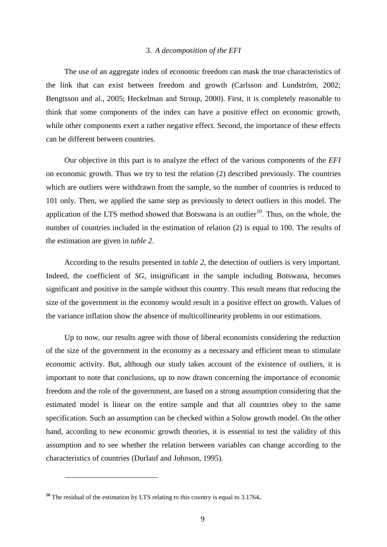#### 3. *A decomposition of the EFI*

The use of an aggregate index of economic freedom can mask the true characteristics of the link that can exist between freedom and growth (Carlsson and Lundström, 2002; Bengtsson and al., 2005; Heckelman and Stroup, 2000). First, it is completely reasonable to think that some components of the index can have a positive effect on economic growth, while other components exert a rather negative effect. Second, the importance of these effects can be different between countries.

Our objective in this part is to analyze the effect of the various components of the *EFI* on economic growth. Thus we try to test the relation (2) described previously. The countries which are outliers were withdrawn from the sample, so the number of countries is reduced to 101 only. Then, we applied the same step as previously to detect outliers in this model. The application of the LTS method showed that Botswana is an outlier<sup>10</sup>. Thus, on the whole, the number of countries included in the estimation of relation (2) is equal to 100. The results of the estimation are given in *table 2*.

According to the results presented in *table 2*, the detection of outliers is very important. Indeed, the coefficient of *SG*, insignificant in the sample including Botswana, becomes significant and positive in the sample without this country. This result means that reducing the size of the government in the economy would result in a positive effect on growth. Values of the variance inflation show the absence of multicollinearity problems in our estimations.

Up to now, our results agree with those of liberal economists considering the reduction of the size of the government in the economy as a necessary and efficient mean to stimulate economic activity. But, although our study takes account of the existence of outliers, it is important to note that conclusions, up to now drawn concerning the importance of economic freedom and the role of the government, are based on a strong assumption considering that the estimated model is linear on the entire sample and that all countries obey to the same specification. Such an assumption can be checked within a Solow growth model. On the other hand, according to new economic growth theories, it is essential to test the validity of this assumption and to see whether the relation between variables can change according to the characteristics of countries (Durlauf and Johnson, 1995).

**<sup>10</sup>** The residual of the estimation by LTS relating to this country is equal to 3.1764**.**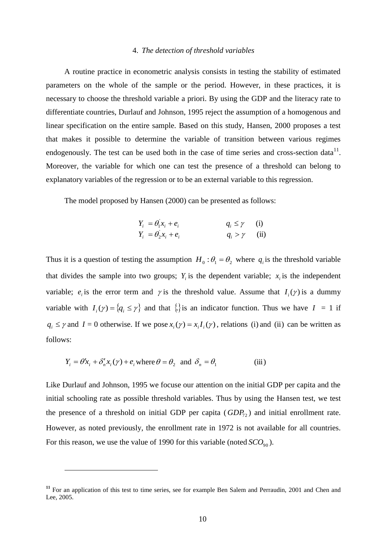#### 4. *The detection of threshold variables*

A routine practice in econometric analysis consists in testing the stability of estimated parameters on the whole of the sample or the period. However, in these practices, it is necessary to choose the threshold variable a priori. By using the GDP and the literacy rate to differentiate countries, Durlauf and Johnson, 1995 reject the assumption of a homogenous and linear specification on the entire sample. Based on this study, Hansen, 2000 proposes a test that makes it possible to determine the variable of transition between various regimes endogenously. The test can be used both in the case of time series and cross-section data $^{11}$ . Moreover, the variable for which one can test the presence of a threshold can belong to explanatory variables of the regression or to be an external variable to this regression.

The model proposed by Hansen (2000) can be presented as follows:

$$
Y_i = \theta_1^{\dagger} x_i + e_i
$$
  
\n
$$
Y_i = \theta_2^{\dagger} x_i + e_i
$$
  
\n
$$
q_i \ge \gamma
$$
  
\n(ii)  
\n
$$
q_i > \gamma
$$
  
\n(i)

Thus it is a question of testing the assumption  $H_0: \theta_1 = \theta_2$  where  $q_i$  is the threshold variable that divides the sample into two groups;  $Y_i$  is the dependent variable;  $x_i$  is the independent variable;  $e_i$  is the error term and  $\gamma$  is the threshold value. Assume that  $I_i(\gamma)$  is a dummy variable with  $I_i(y) = \{q_i \le y\}$  and that  $\{\}$  is an indicator function. Thus we have  $I = 1$  if  $q_i \leq \gamma$  and  $I = 0$  otherwise. If we pose  $x_i(\gamma) = x_i I_i(\gamma)$ , relations (i) and (ii) can be written as follows:

$$
Y_i = \theta' x_i + \delta'_n x_i(\gamma) + e_i \text{ where } \theta = \theta_2 \text{ and } \delta_n = \theta_1 \tag{iii}
$$

 $\overline{a}$ 

Like Durlauf and Johnson, 1995 we focuse our attention on the initial GDP per capita and the initial schooling rate as possible threshold variables. Thus by using the Hansen test, we test the presence of a threshold on initial GDP per capita  $(GDP_{72})$  and initial enrollment rate. However, as noted previously, the enrollment rate in 1972 is not available for all countries. For this reason, we use the value of 1990 for this variable (noted  $SCO_{90}$ ).

**<sup>11</sup>** For an application of this test to time series, see for example Ben Salem and Perraudin, 2001 and Chen and Lee, 2005.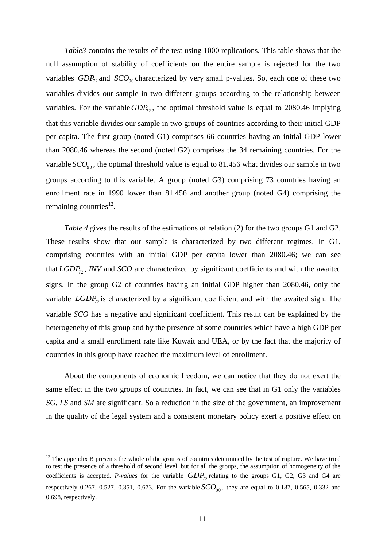*Table3* contains the results of the test using 1000 replications. This table shows that the null assumption of stability of coefficients on the entire sample is rejected for the two variables  $GDP_{72}$  and  $SCO_{90}$  characterized by very small p-values. So, each one of these two variables divides our sample in two different groups according to the relationship between variables. For the variable  $GDP_{72}$ , the optimal threshold value is equal to 2080.46 implying that this variable divides our sample in two groups of countries according to their initial GDP per capita. The first group (noted G1) comprises 66 countries having an initial GDP lower than 2080.46 whereas the second (noted G2) comprises the 34 remaining countries. For the variable *SCO*<sub>90</sub>, the optimal threshold value is equal to 81.456 what divides our sample in two groups according to this variable. A group (noted G3) comprising 73 countries having an enrollment rate in 1990 lower than 81.456 and another group (noted G4) comprising the remaining countries $^{12}$ .

*Table 4* gives the results of the estimations of relation (2) for the two groups G1 and G2. These results show that our sample is characterized by two different regimes. In G1, comprising countries with an initial GDP per capita lower than 2080.46; we can see that *LGDP*<sub>72</sub>, *INV* and *SCO* are characterized by significant coefficients and with the awaited signs. In the group G2 of countries having an initial GDP higher than 2080.46, only the variable *LGDP*<sub>72</sub> is characterized by a significant coefficient and with the awaited sign. The variable *SCO* has a negative and significant coefficient. This result can be explained by the heterogeneity of this group and by the presence of some countries which have a high GDP per capita and a small enrollment rate like Kuwait and UEA, or by the fact that the majority of countries in this group have reached the maximum level of enrollment.

About the components of economic freedom, we can notice that they do not exert the same effect in the two groups of countries. In fact, we can see that in G1 only the variables *SG*, *LS* and *SM* are significant. So a reduction in the size of the government, an improvement in the quality of the legal system and a consistent monetary policy exert a positive effect on

 $12$  The appendix B presents the whole of the groups of countries determined by the test of rupture. We have tried to test the presence of a threshold of second level, but for all the groups, the assumption of homogeneity of the coefficients is accepted. *P-values* for the variable  $GDP_{72}$  relating to the groups G1, G2, G3 and G4 are respectively 0.267, 0.527, 0.351, 0.673. For the variable  $SCO_{90}$ , they are equal to 0.187, 0.565, 0.332 and 0.698, respectively.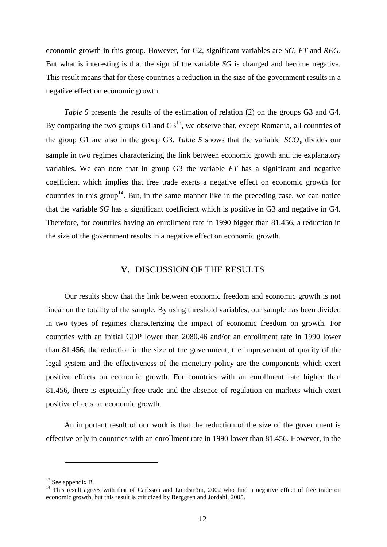economic growth in this group. However, for G2, significant variables are *SG*, *FT* and *REG*. But what is interesting is that the sign of the variable *SG* is changed and become negative. This result means that for these countries a reduction in the size of the government results in a negative effect on economic growth.

*Table 5* presents the results of the estimation of relation (2) on the groups G3 and G4. By comparing the two groups  $G1$  and  $G3<sup>13</sup>$ , we observe that, except Romania, all countries of the group G1 are also in the group G3. Table 5 shows that the variable  $SCO<sub>90</sub>$  divides our sample in two regimes characterizing the link between economic growth and the explanatory variables. We can note that in group G3 the variable *FT* has a significant and negative coefficient which implies that free trade exerts a negative effect on economic growth for countries in this group<sup>14</sup>. But, in the same manner like in the preceding case, we can notice that the variable *SG* has a significant coefficient which is positive in G3 and negative in G4. Therefore, for countries having an enrollment rate in 1990 bigger than 81.456, a reduction in the size of the government results in a negative effect on economic growth.

#### **V.** DISCUSSION OF THE RESULTS

Our results show that the link between economic freedom and economic growth is not linear on the totality of the sample. By using threshold variables, our sample has been divided in two types of regimes characterizing the impact of economic freedom on growth. For countries with an initial GDP lower than 2080.46 and/or an enrollment rate in 1990 lower than 81.456, the reduction in the size of the government, the improvement of quality of the legal system and the effectiveness of the monetary policy are the components which exert positive effects on economic growth. For countries with an enrollment rate higher than 81.456, there is especially free trade and the absence of regulation on markets which exert positive effects on economic growth.

An important result of our work is that the reduction of the size of the government is effective only in countries with an enrollment rate in 1990 lower than 81.456. However, in the

<sup>&</sup>lt;sup>13</sup> See appendix B.

<sup>&</sup>lt;sup>14</sup> This result agrees with that of Carlsson and Lundström, 2002 who find a negative effect of free trade on economic growth, but this result is criticized by Berggren and Jordahl, 2005.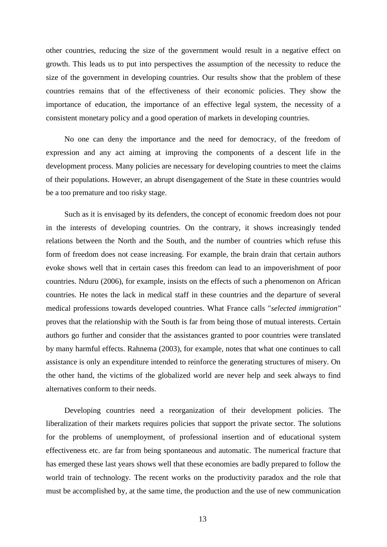other countries, reducing the size of the government would result in a negative effect on growth. This leads us to put into perspectives the assumption of the necessity to reduce the size of the government in developing countries. Our results show that the problem of these countries remains that of the effectiveness of their economic policies. They show the importance of education, the importance of an effective legal system, the necessity of a consistent monetary policy and a good operation of markets in developing countries.

No one can deny the importance and the need for democracy, of the freedom of expression and any act aiming at improving the components of a descent life in the development process. Many policies are necessary for developing countries to meet the claims of their populations. However, an abrupt disengagement of the State in these countries would be a too premature and too risky stage.

Such as it is envisaged by its defenders, the concept of economic freedom does not pour in the interests of developing countries. On the contrary, it shows increasingly tended relations between the North and the South, and the number of countries which refuse this form of freedom does not cease increasing. For example, the brain drain that certain authors evoke shows well that in certain cases this freedom can lead to an impoverishment of poor countries. Nduru (2006), for example, insists on the effects of such a phenomenon on African countries. He notes the lack in medical staff in these countries and the departure of several medical professions towards developed countries. What France calls "*selected immigration"* proves that the relationship with the South is far from being those of mutual interests. Certain authors go further and consider that the assistances granted to poor countries were translated by many harmful effects. Rahnema (2003), for example, notes that what one continues to call assistance is only an expenditure intended to reinforce the generating structures of misery. On the other hand, the victims of the globalized world are never help and seek always to find alternatives conform to their needs.

Developing countries need a reorganization of their development policies. The liberalization of their markets requires policies that support the private sector. The solutions for the problems of unemployment, of professional insertion and of educational system effectiveness etc. are far from being spontaneous and automatic. The numerical fracture that has emerged these last years shows well that these economies are badly prepared to follow the world train of technology. The recent works on the productivity paradox and the role that must be accomplished by, at the same time, the production and the use of new communication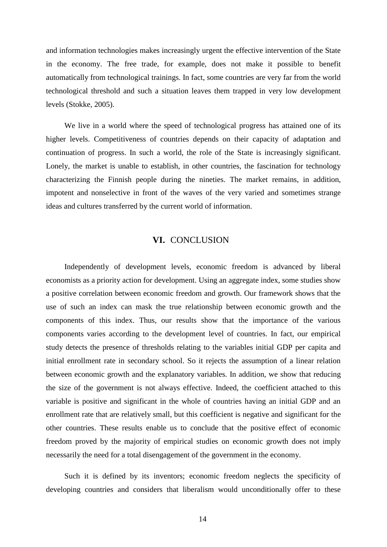and information technologies makes increasingly urgent the effective intervention of the State in the economy. The free trade, for example, does not make it possible to benefit automatically from technological trainings. In fact, some countries are very far from the world technological threshold and such a situation leaves them trapped in very low development levels (Stokke, 2005).

We live in a world where the speed of technological progress has attained one of its higher levels. Competitiveness of countries depends on their capacity of adaptation and continuation of progress. In such a world, the role of the State is increasingly significant. Lonely, the market is unable to establish, in other countries, the fascination for technology characterizing the Finnish people during the nineties. The market remains, in addition, impotent and nonselective in front of the waves of the very varied and sometimes strange ideas and cultures transferred by the current world of information.

#### **VI.** CONCLUSION

Independently of development levels, economic freedom is advanced by liberal economists as a priority action for development. Using an aggregate index, some studies show a positive correlation between economic freedom and growth. Our framework shows that the use of such an index can mask the true relationship between economic growth and the components of this index. Thus, our results show that the importance of the various components varies according to the development level of countries. In fact, our empirical study detects the presence of thresholds relating to the variables initial GDP per capita and initial enrollment rate in secondary school. So it rejects the assumption of a linear relation between economic growth and the explanatory variables. In addition, we show that reducing the size of the government is not always effective. Indeed, the coefficient attached to this variable is positive and significant in the whole of countries having an initial GDP and an enrollment rate that are relatively small, but this coefficient is negative and significant for the other countries. These results enable us to conclude that the positive effect of economic freedom proved by the majority of empirical studies on economic growth does not imply necessarily the need for a total disengagement of the government in the economy.

Such it is defined by its inventors; economic freedom neglects the specificity of developing countries and considers that liberalism would unconditionally offer to these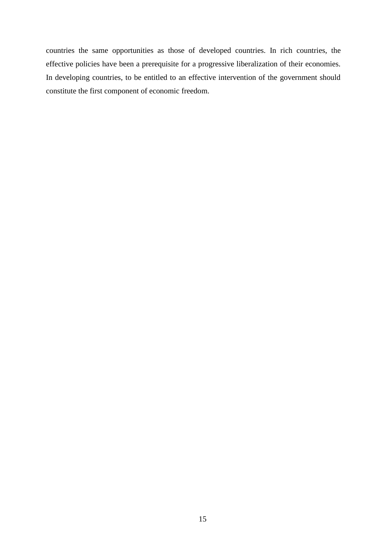countries the same opportunities as those of developed countries. In rich countries, the effective policies have been a prerequisite for a progressive liberalization of their economies. In developing countries, to be entitled to an effective intervention of the government should constitute the first component of economic freedom.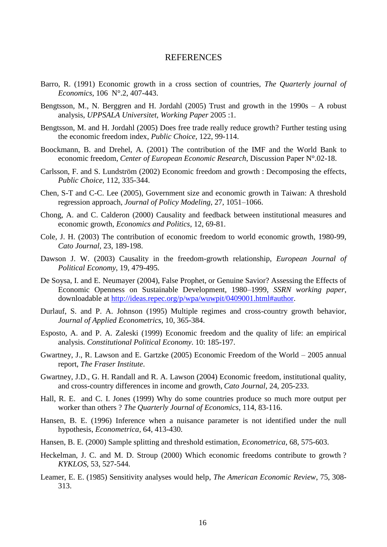#### **REFERENCES**

- Barro, R. (1991) Economic growth in a cross section of countries, *The Quarterly journal of Economics*, 106 N°.2, 407-443.
- Bengtsson, M., N. Berggren and H. Jordahl (2005) Trust and growth in the 1990s A robust analysis, *UPPSALA Universitet, Working Paper* 2005 :1.
- Bengtsson, M. and H. Jordahl (2005) Does free trade really reduce growth? Further testing using the economic freedom index, *Public Choice*, 122, 99-114.
- Boockmann, B. and Drehel, A. (2001) The contribution of the IMF and the World Bank to economic freedom, *Center of European Economic Research*, Discussion Paper N°.02-18.
- Carlsson, F. and S. Lundström (2002) Economic freedom and growth : Decomposing the effects, *Public Choice,* 112, 335-344.
- Chen, S-T and C-C. Lee (2005), Government size and economic growth in Taiwan: A threshold regression approach, *Journal of Policy Modeling*, 27, 1051–1066.
- Chong, A. and C. Calderon (2000) Causality and feedback between institutional measures and economic growth*, Economics and Politics*, 12, 69-81.
- Cole, J. H. (2003) The contribution of economic freedom to world economic growth, 1980-99, *Cato Journal*, 23, 189-198.
- Dawson J. W. (2003) Causality in the freedom-growth relationship, *European Journal of Political Economy*, 19, 479-495.
- De Soysa, I. and E. Neumayer (2004), False Prophet, or Genuine Savior? Assessing the Effects of Economic Openness on Sustainable Development, 1980–1999, *SSRN working paper*, downloadable at [http://ideas.repec.org/p/wpa/wuwpit/0409001.html#author.](http://ideas.repec.org/p/wpa/wuwpit/0409001.html#author)
- Durlauf, S. and P. A. Johnson (1995) Multiple regimes and cross-country growth behavior, *Journal of Applied Econometrics*, 10, 365-384.
- Esposto, A. and P. A. Zaleski (1999) Economic freedom and the quality of life: an empirical analysis. *Constitutional Political Economy*. 10: 185-197.
- Gwartney, J., R. Lawson and E. Gartzke (2005) Economic Freedom of the World 2005 annual report, *The Fraser Institute*.
- Gwartney, J.D., G. H. Randall and R. A. Lawson (2004) Economic freedom, institutional quality, and cross-country differences in income and growth, *Cato Journal*, 24, 205-233.
- Hall, R. E. and C. I. Jones (1999) Why do some countries produce so much more output per worker than others ? *The Quarterly Journal of Economics*, 114, 83-116.
- Hansen, B. E. (1996) Inference when a nuisance parameter is not identified under the null hypothesis, *Econometrica*, 64, 413-430.
- Hansen, B. E. (2000) Sample splitting and threshold estimation, *Econometrica*, 68, 575-603.
- Heckelman, J. C. and M. D. Stroup (2000) Which economic freedoms contribute to growth ? *KYKLOS*, 53, 527-544.
- Leamer, E. E. (1985) Sensitivity analyses would help, *The American Economic Review*, 75, 308- 313.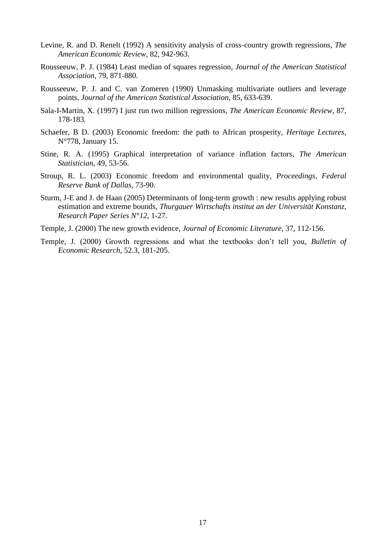- Levine, R. and D. Renelt (1992) A sensitivity analysis of cross-country growth regressions, *The American Economic Review*, 82, 942-963.
- Rousseeuw, P. J. (1984) Least median of squares regression, *Journal of the American Statistical Association*, 79, 871-880.
- Rousseeuw, P. J. and C. van Zomeren (1990) Unmasking multivariate outliers and leverage points, *Journal of the American Statistical Association*, 85, 633-639.
- Sala-I-Martin, X. (1997) I just run two million regressions, *The American Economic Review*, 87, 178-183*.*
- Schaefer, B D. (2003) Economic freedom: the path to African prosperity, *Heritage Lectures*, N°778, January 15.
- Stine, R. A. (1995) Graphical interpretation of variance inflation factors, *The American Statistician*, 49, 53-56.
- Stroup, R. L. (2003) Economic freedom and environmental quality, *Proceedings, Federal Reserve Bank of Dallas*, 73-90.
- Sturm, J-E and J. de Haan (2005) Determinants of long-term growth : new results applying robust estimation and extreme bounds, *Thurgauer Wirtschafts institut an der Universität Konstanz, Research Paper Series N°12*, 1-27.
- Temple, J. (2000) The new growth evidence, *Journal of Economic Literature*, 37, 112-156.
- Temple, J. (2000) Growth regressions and what the textbooks don't tell you, *Bulletin of Economic Research*, 52.3, 181-205.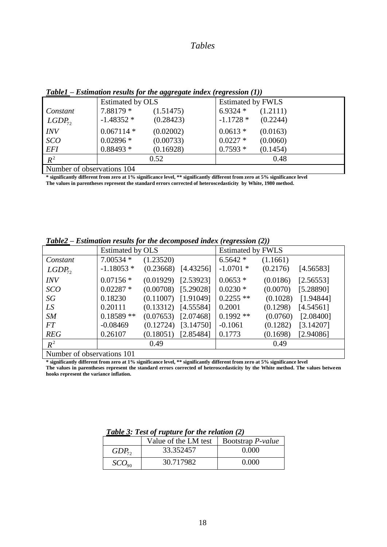#### *Tables*

|                            | Estimated by OLS |           | <b>Estimated by FWLS</b> |          |
|----------------------------|------------------|-----------|--------------------------|----------|
| Constant                   | 7.88179 *        | (1.51475) | 6.9324 $*$               | (1.2111) |
| $LGDP_{72}$                | $-1.48352*$      | (0.28423) | $-1.1728*$               | (0.2244) |
| <i>INV</i>                 | $0.067114*$      | (0.02002) | $0.0613*$                | (0.0163) |
| <b>SCO</b>                 | $0.02896*$       | (0.00733) | $0.0227$ *               | (0.0060) |
| <b>EFI</b>                 | $0.88493*$       | (0.16928) | $0.7593*$                | (0.1454) |
| $R^2$                      |                  | 0.52      |                          | 0.48     |
| Number of observations 104 |                  |           |                          |          |

*Table1 – Estimation results for the aggregate index (regression (1))*

Number of observations 104

**\* significantly different from zero at 1% significance level, \*\* significantly different from zero at 5% significance level The values in parentheses represent the standard errors corrected of heteroscedasticity by White, 1980 method.** 

|                    | Estimated by OLS |           |                       | $\bullet$<br>$\sqrt{2}$<br><b>Estimated by FWLS</b> |          |           |
|--------------------|------------------|-----------|-----------------------|-----------------------------------------------------|----------|-----------|
| Constant           | $7.00534*$       | (1.23520) |                       | $6.5642*$                                           | (1.1661) |           |
| LGDP <sub>72</sub> | $-1.18053*$      |           | $(0.23668)$ [4.43256] | $-1.0701*$                                          | (0.2176) | [4.56583] |
| <b>INV</b>         | $0.07156*$       |           | $(0.01929)$ [2.53923] | $0.0653*$                                           | (0.0186) | [2.56553] |
| SCO                | $0.02287*$       |           | $(0.00708)$ [5.29028] | $0.0230*$                                           | (0.0070) | [5.28890] |
| SG                 | 0.18230          |           | $(0.11007)$ [1.91049] | $0.2255**$                                          | (0.1028) | [1.94844] |
| LS                 | 0.20111          |           | $(0.13312)$ [4.55584] | 0.2001                                              | (0.1298) | [4.54561] |
| SM                 | $0.18589**$      |           | $(0.07653)$ [2.07468] | $0.1992**$                                          | (0.0760) | [2.08400] |
| FT.                | $-0.08469$       | (0.12724) | [3.14750]             | $-0.1061$                                           | (0.1282) | [3.14207] |
| <b>REG</b>         | 0.26107          |           | $(0.18051)$ [2.85484] | 0.1773                                              | (0.1698) | [2.94086] |
| $R^2$              |                  | 0.49      |                       |                                                     | 0.49     |           |

*Table2 – Estimation results for the decomposed index (regression (2))*

Number of observations 101

**\* significantly different from zero at 1% significance level, \*\* significantly different from zero at 5% significance level**

**The values in parentheses represent the standard errors corrected of heteroscedasticity by the White method. The values between hooks represent the variance inflation.** 

|                   | Value of the LM test $\mid$ Bootstrap <i>P</i> -value |       |
|-------------------|-------------------------------------------------------|-------|
| $GDP_{72}$        | 33.352457                                             | 0.000 |
| SCO <sub>90</sub> | 30.717982                                             | 0.000 |

*Table 3: Test of rupture for the relation (2)*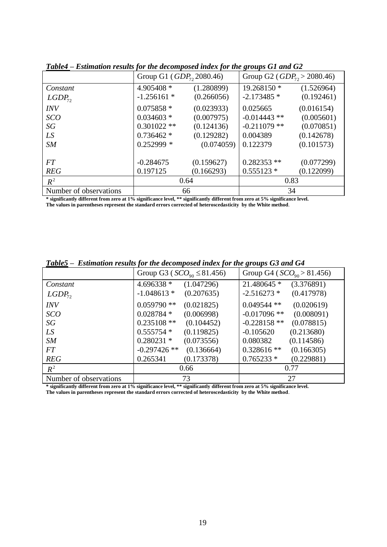| Table+ – Estimation results for the aecomposed maex for the groups O1 and O2 |                               |            |                                   |            |  |
|------------------------------------------------------------------------------|-------------------------------|------------|-----------------------------------|------------|--|
|                                                                              | Group G1 ( $GDP_7$ , 2080.46) |            | Group G2 ( $GDP_{72} > 2080.46$ ) |            |  |
| Constant                                                                     | 4.905408 *                    | (1.280899) | 19.268150 *                       | (1.526964) |  |
| $LGDP_{72}$                                                                  | $-1.256161*$                  | (0.266056) | $-2.173485*$                      | (0.192461) |  |
| <b>INV</b>                                                                   | $0.075858*$                   | (0.023933) | 0.025665                          | (0.016154) |  |
| <b>SCO</b>                                                                   | $0.034603*$                   | (0.007975) | $-0.014443$ **                    | (0.005601) |  |
| SG                                                                           | $0.301022$ **                 | (0.124136) | $-0.211079$ **                    | (0.070851) |  |
| LS                                                                           | $0.736462*$                   | (0.129282) | 0.004389                          | (0.142678) |  |
| SM                                                                           | $0.252999$ *                  | (0.074059) | 0.122379                          | (0.101573) |  |
|                                                                              |                               |            |                                   |            |  |
| <b>FT</b>                                                                    | $-0.284675$                   | (0.159627) | $0.282353$ **                     | (0.077299) |  |
| <b>REG</b>                                                                   | 0.197125                      | (0.166293) | $0.555123*$                       | (0.122099) |  |
| $R^2$                                                                        | 0.64                          |            | 0.83                              |            |  |
| Number of observations                                                       | 66                            |            | 34                                |            |  |

*Table4 – Estimation results for the decomposed index for the groups G1 and G2*

**\* significantly different from zero at 1% significance level, \*\* significantly different from zero at 5% significance level. The values in parentheses represent the standard errors corrected of heteroscedasticity by the White method**.

| $I$ uvies $-$ Estimation results for the aecomposed thaex for the groups $J$ s and $J$ |                                     |                               |  |  |  |
|----------------------------------------------------------------------------------------|-------------------------------------|-------------------------------|--|--|--|
|                                                                                        | Group G3 ( $SCO_{90} \leq 81.456$ ) | Group G4 ( $SCO90 > 81.456$ ) |  |  |  |
| Constant                                                                               | 4.696338 *<br>(1.047296)            | 21.480645 *<br>(3.376891)     |  |  |  |
| LGDP <sub>72</sub>                                                                     | $-1.048613*$<br>(0.207635)          | $-2.516273*$<br>(0.417978)    |  |  |  |
| <b>INV</b>                                                                             | $0.059790$ **<br>(0.021825)         | $0.049544$ **<br>(0.020619)   |  |  |  |
| SCO                                                                                    | $0.028784*$<br>(0.006998)           | $-0.017096$ **<br>(0.008091)  |  |  |  |
| SG                                                                                     | $0.235108$ **<br>(0.104452)         | $-0.228158$ **<br>(0.078815)  |  |  |  |
| LS                                                                                     | $0.555754*$<br>(0.119825)           | (0.213680)<br>$-0.105620$     |  |  |  |
| SM                                                                                     | $0.280231$ *<br>(0.073556)          | 0.080382<br>(0.114586)        |  |  |  |
| FT                                                                                     | $-0.297426$ **<br>(0.136664)        | $0.328616**$<br>(0.166305)    |  |  |  |
| <b>REG</b>                                                                             | (0.173378)<br>0.265341              | $0.765233*$<br>(0.229881)     |  |  |  |
| $R^2$                                                                                  | 0.66                                | 0.77                          |  |  |  |
| Number of observations                                                                 | 73                                  | 27                            |  |  |  |

*Table5* **–** *Estimation results for the decomposed index for the groups G3 and G4*

**\* significantly different from zero at 1% significance level, \*\* significantly different from zero at 5% significance level. The values in parentheses represent the standard errors corrected of heteroscedasticity by the White method**.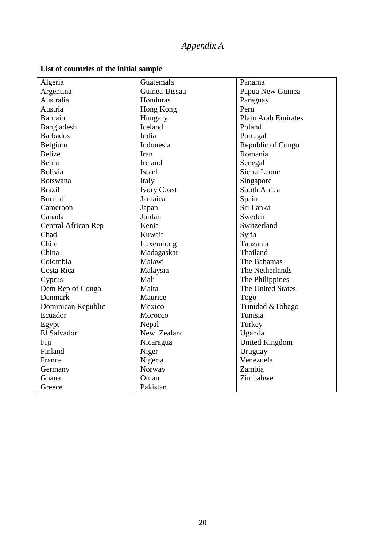### *Appendix A*

| Algeria                    | Guatemala          | Panama              |  |
|----------------------------|--------------------|---------------------|--|
| Argentina                  | Guinea-Bissau      | Papua New Guinea    |  |
| Australia                  | Honduras           | Paraguay            |  |
| Austria                    | Hong Kong          | Peru                |  |
| Bahrain                    | Hungary            | Plain Arab Emirates |  |
| Bangladesh                 | Iceland            | Poland              |  |
| <b>Barbados</b>            | India              | Portugal            |  |
| Belgium                    | Indonesia          | Republic of Congo   |  |
| <b>Belize</b>              | Iran               | Romania             |  |
| Benin                      | Ireland            | Senegal             |  |
| <b>Bolivia</b>             | <b>Israel</b>      | Sierra Leone        |  |
| <b>Botswana</b>            | Italy              | Singapore           |  |
| <b>Brazil</b>              | <b>Ivory Coast</b> | South Africa        |  |
| <b>Burundi</b>             | Jamaica            | Spain               |  |
| Cameroon                   | Japan              | Sri Lanka           |  |
| Canada                     | Jordan             | Sweden              |  |
| <b>Central African Rep</b> | Kenia              | Switzerland         |  |
| Chad                       | Kuwait             | Syria               |  |
| Chile                      | Luxemburg          | Tanzania            |  |
| China                      | Madagaskar         | Thailand            |  |
| Colombia                   | Malawi             | The Bahamas         |  |
| Costa Rica                 | Malaysia           | The Netherlands     |  |
| Cyprus                     | Mali               | The Philippines     |  |
| Dem Rep of Congo           | Malta              | The United States   |  |
| Denmark                    | Maurice            | Togo                |  |
| Dominican Republic         | Mexico             | Trinidad &Tobago    |  |
| Ecuador                    | Morocco            | Tunisia             |  |
| Egypt                      | Nepal              | Turkey              |  |
| El Salvador                | New Zealand        | Uganda              |  |
| Fiji                       | Nicaragua          | United Kingdom      |  |
| Finland                    | Niger              | Uruguay             |  |
| France                     | Nigeria            | Venezuela           |  |
| Germany                    | Norway             | Zambia              |  |
| Ghana                      | Oman               | Zimbabwe            |  |
| Greece                     | Pakistan           |                     |  |

#### **List of countries of the initial sample**